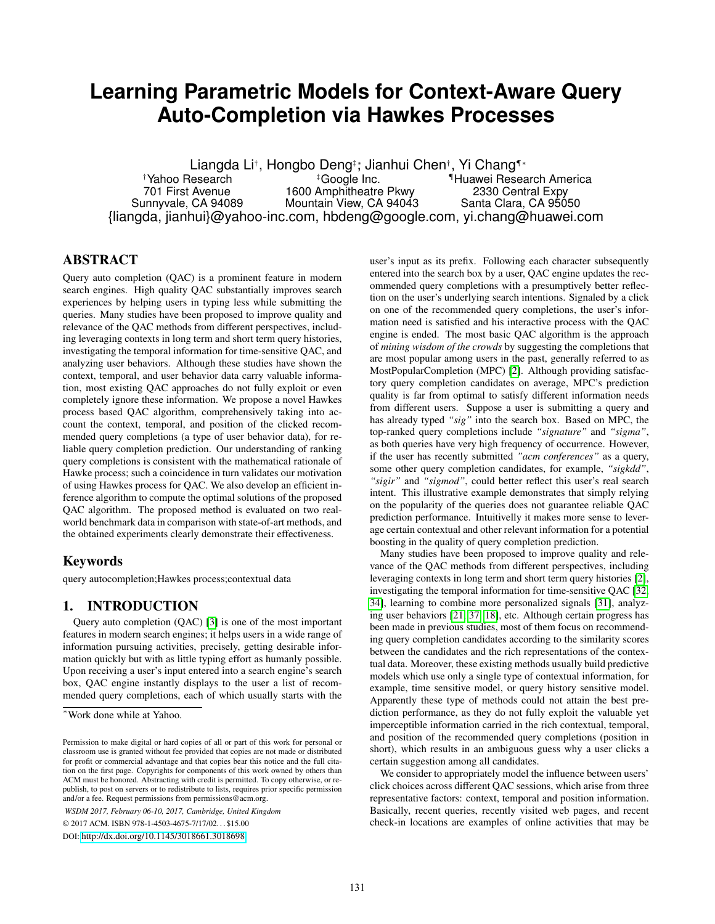# **Learning Parametric Models for Context-Aware Query Auto-Completion via Hawkes Processes**

Liangda Li†, Hongbo Deng‡; Jianhui Chen†, Yi Chang¶\* †Yahoo Research ‡Google Inc. ¶Huawei Research America 701 First Avenue 1600 Amphitheatre Pkwy 2330 Central Expy<br>Sunnyvale, CA 94089 Mountain View, CA 94043 Santa Clara, CA 95050 Mountain View, CA 94043 {liangda, jianhui}@yahoo-inc.com, hbdeng@google.com, yi.chang@huawei.com

# **ABSTRACT**

Query auto completion (QAC) is a prominent feature in modern search engines. High quality QAC substantially improves search experiences by helping users in typing less while submitting the queries. Many studies have been proposed to improve quality and relevance of the QAC methods from different perspectives, including leveraging contexts in long term and short term query histories, investigating the temporal information for time-sensitive QAC, and analyzing user behaviors. Although these studies have shown the context, temporal, and user behavior data carry valuable information, most existing QAC approaches do not fully exploit or even completely ignore these information. We propose a novel Hawkes process based QAC algorithm, comprehensively taking into account the context, temporal, and position of the clicked recommended query completions (a type of user behavior data), for reliable query completion prediction. Our understanding of ranking query completions is consistent with the mathematical rationale of Hawke process; such a coincidence in turn validates our motivation of using Hawkes process for QAC. We also develop an efficient inference algorithm to compute the optimal solutions of the proposed QAC algorithm. The proposed method is evaluated on two realworld benchmark data in comparison with state-of-art methods, and the obtained experiments clearly demonstrate their effectiveness.

## Keywords

query autocompletion;Hawkes process;contextual data

## 1. INTRODUCTION

Query auto completion (QAC) [\[3\]](#page-8-0) is one of the most important features in modern search engines; it helps users in a wide range of information pursuing activities, precisely, getting desirable information quickly but with as little typing effort as humanly possible. Upon receiving a user's input entered into a search engine's search box, QAC engine instantly displays to the user a list of recommended query completions, each of which usually starts with the

*WSDM 2017, February 06-10, 2017, Cambridge, United Kingdom*

© 2017 ACM. ISBN 978-1-4503-4675-7/17/02. . . \$15.00

DOI: <http://dx.doi.org/10.1145/3018661.3018698>

user's input as its prefix. Following each character subsequently entered into the search box by a user, QAC engine updates the recommended query completions with a presumptively better reflection on the user's underlying search intentions. Signaled by a click on one of the recommended query completions, the user's information need is satisfied and his interactive process with the QAC engine is ended. The most basic QAC algorithm is the approach of *mining wisdom of the crowds* by suggesting the completions that are most popular among users in the past, generally referred to as MostPopularCompletion (MPC) [\[2\]](#page-8-1). Although providing satisfactory query completion candidates on average, MPC's prediction quality is far from optimal to satisfy different information needs from different users. Suppose a user is submitting a query and has already typed *"sig"* into the search box. Based on MPC, the top-ranked query completions include *"signature"* and *"sigma"*, as both queries have very high frequency of occurrence. However, if the user has recently submitted *"acm conferences"* as a query, some other query completion candidates, for example, *"sigkdd"*, *"sigir"* and *"sigmod"*, could better reflect this user's real search intent. This illustrative example demonstrates that simply relying on the popularity of the queries does not guarantee reliable QAC prediction performance. Intuitivelly it makes more sense to leverage certain contextual and other relevant information for a potential boosting in the quality of query completion prediction.

Many studies have been proposed to improve quality and relevance of the QAC methods from different perspectives, including leveraging contexts in long term and short term query histories [\[2\]](#page-8-1), investigating the temporal information for time-sensitive QAC [\[32,](#page-8-2) [34\]](#page-8-3), learning to combine more personalized signals [\[31\]](#page-8-4), analyzing user behaviors [\[21,](#page-8-5) [37,](#page-8-6) [18\]](#page-8-7), etc. Although certain progress has been made in previous studies, most of them focus on recommending query completion candidates according to the similarity scores between the candidates and the rich representations of the contextual data. Moreover, these existing methods usually build predictive models which use only a single type of contextual information, for example, time sensitive model, or query history sensitive model. Apparently these type of methods could not attain the best prediction performance, as they do not fully exploit the valuable yet imperceptible information carried in the rich contextual, temporal, and position of the recommended query completions (position in short), which results in an ambiguous guess why a user clicks a certain suggestion among all candidates.

We consider to appropriately model the influence between users' click choices across different QAC sessions, which arise from three representative factors: context, temporal and position information. Basically, recent queries, recently visited web pages, and recent check-in locations are examples of online activities that may be

<sup>∗</sup>Work done while at Yahoo.

Permission to make digital or hard copies of all or part of this work for personal or classroom use is granted without fee provided that copies are not made or distributed for profit or commercial advantage and that copies bear this notice and the full citation on the first page. Copyrights for components of this work owned by others than ACM must be honored. Abstracting with credit is permitted. To copy otherwise, or republish, to post on servers or to redistribute to lists, requires prior specific permission and/or a fee. Request permissions from permissions@acm.org.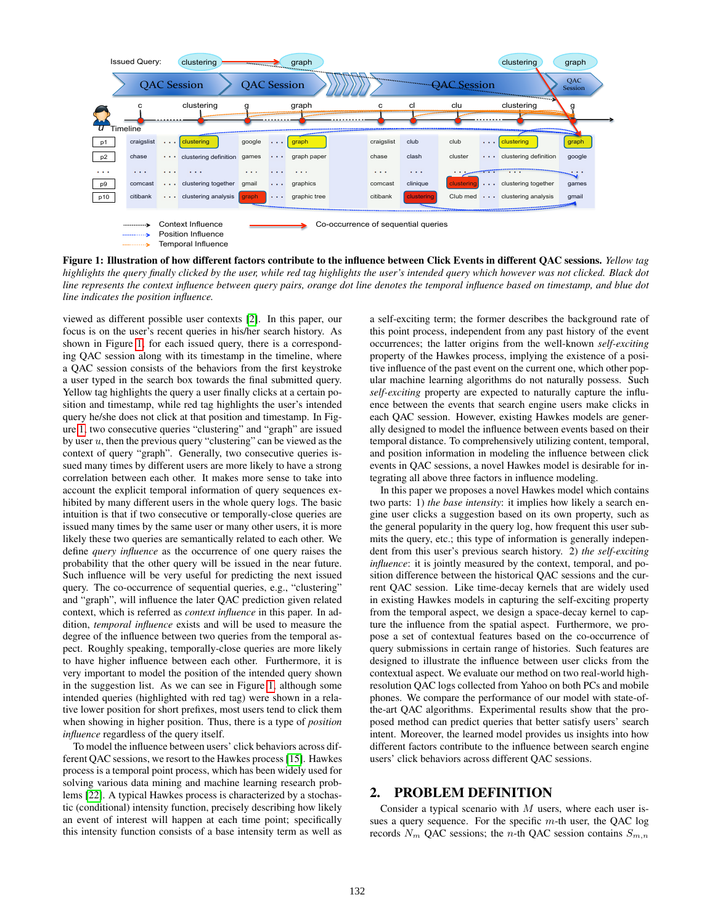

<span id="page-1-0"></span>Figure 1: Illustration of how different factors contribute to the influence between Click Events in different QAC sessions. *Yellow tag highlights the query finally clicked by the user, while red tag highlights the user's intended query which however was not clicked. Black dot line represents the context influence between query pairs, orange dot line denotes the temporal influence based on timestamp, and blue dot line indicates the position influence.*

viewed as different possible user contexts [\[2\]](#page-8-1). In this paper, our focus is on the user's recent queries in his/her search history. As shown in Figure [1,](#page-1-0) for each issued query, there is a corresponding QAC session along with its timestamp in the timeline, where a QAC session consists of the behaviors from the first keystroke a user typed in the search box towards the final submitted query. Yellow tag highlights the query a user finally clicks at a certain position and timestamp, while red tag highlights the user's intended query he/she does not click at that position and timestamp. In Figure [1,](#page-1-0) two consecutive queries "clustering" and "graph" are issued by user  $u$ , then the previous query "clustering" can be viewed as the context of query "graph". Generally, two consecutive queries issued many times by different users are more likely to have a strong correlation between each other. It makes more sense to take into account the explicit temporal information of query sequences exhibited by many different users in the whole query logs. The basic intuition is that if two consecutive or temporally-close queries are issued many times by the same user or many other users, it is more likely these two queries are semantically related to each other. We define *query influence* as the occurrence of one query raises the probability that the other query will be issued in the near future. Such influence will be very useful for predicting the next issued query. The co-occurrence of sequential queries, e.g., "clustering" and "graph", will influence the later QAC prediction given related context, which is referred as *context influence* in this paper. In addition, *temporal influence* exists and will be used to measure the degree of the influence between two queries from the temporal aspect. Roughly speaking, temporally-close queries are more likely to have higher influence between each other. Furthermore, it is very important to model the position of the intended query shown in the suggestion list. As we can see in Figure [1,](#page-1-0) although some intended queries (highlighted with red tag) were shown in a relative lower position for short prefixes, most users tend to click them when showing in higher position. Thus, there is a type of *position influence* regardless of the query itself.

To model the influence between users' click behaviors across different QAC sessions, we resort to the Hawkes process [\[15\]](#page-8-8). Hawkes process is a temporal point process, which has been widely used for solving various data mining and machine learning research problems [\[22\]](#page-8-9). A typical Hawkes process is characterized by a stochastic (conditional) intensity function, precisely describing how likely an event of interest will happen at each time point; specifically this intensity function consists of a base intensity term as well as

a self-exciting term; the former describes the background rate of this point process, independent from any past history of the event occurrences; the latter origins from the well-known *self-exciting* property of the Hawkes process, implying the existence of a positive influence of the past event on the current one, which other popular machine learning algorithms do not naturally possess. Such *self-exciting* property are expected to naturally capture the influence between the events that search engine users make clicks in each QAC session. However, existing Hawkes models are generally designed to model the influence between events based on their temporal distance. To comprehensively utilizing content, temporal, and position information in modeling the influence between click events in QAC sessions, a novel Hawkes model is desirable for integrating all above three factors in influence modeling.

In this paper we proposes a novel Hawkes model which contains two parts: 1) *the base intensity*: it implies how likely a search engine user clicks a suggestion based on its own property, such as the general popularity in the query log, how frequent this user submits the query, etc.; this type of information is generally independent from this user's previous search history. 2) *the self-exciting influence*: it is jointly measured by the context, temporal, and position difference between the historical QAC sessions and the current QAC session. Like time-decay kernels that are widely used in existing Hawkes models in capturing the self-exciting property from the temporal aspect, we design a space-decay kernel to capture the influence from the spatial aspect. Furthermore, we propose a set of contextual features based on the co-occurrence of query submissions in certain range of histories. Such features are designed to illustrate the influence between user clicks from the contextual aspect. We evaluate our method on two real-world highresolution QAC logs collected from Yahoo on both PCs and mobile phones. We compare the performance of our model with state-ofthe-art QAC algorithms. Experimental results show that the proposed method can predict queries that better satisfy users' search intent. Moreover, the learned model provides us insights into how different factors contribute to the influence between search engine users' click behaviors across different QAC sessions.

# 2. PROBLEM DEFINITION

Consider a typical scenario with  $M$  users, where each user issues a query sequence. For the specific  $m$ -th user, the QAC log records  $N_m$  QAC sessions; the n-th QAC session contains  $S_{m,n}$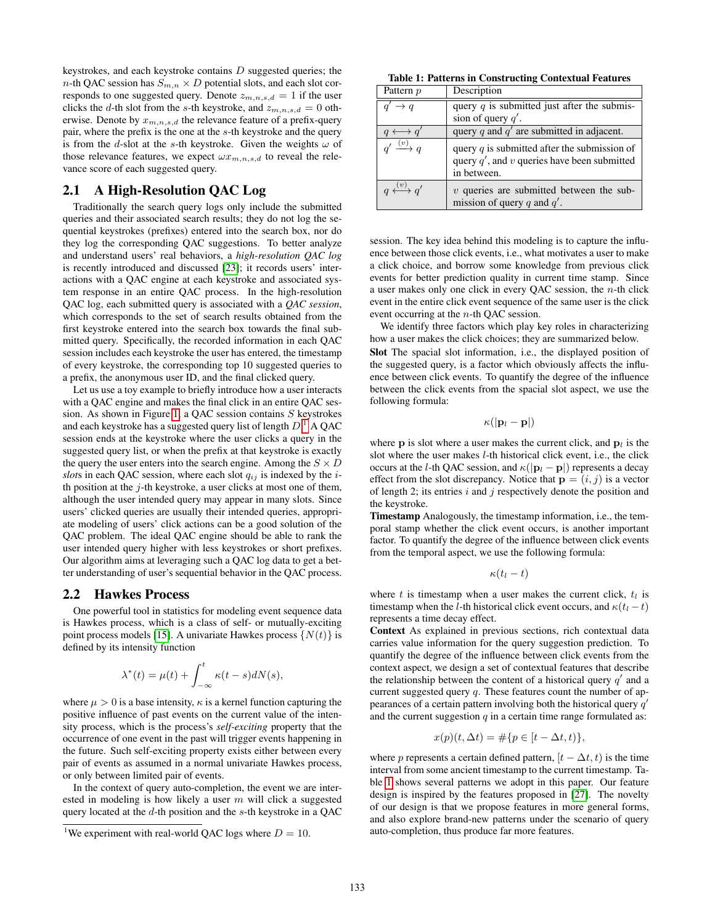keystrokes, and each keystroke contains  $D$  suggested queries; the  $n$ -th QAC session has  $S_{m,n} \times D$  potential slots, and each slot corresponds to one suggested query. Denote  $z_{m,n,s,d} = 1$  if the user clicks the d-th slot from the s-th keystroke, and  $z_{m,n,s,d} = 0$  otherwise. Denote by  $x_{m,n,s,d}$  the relevance feature of a prefix-query pair, where the prefix is the one at the s-th keystroke and the query is from the d-slot at the s-th keystroke. Given the weights  $\omega$  of those relevance features, we expect  $\omega x_{m,n,s,d}$  to reveal the relevance score of each suggested query.

# 2.1 A High-Resolution QAC Log

Traditionally the search query logs only include the submitted queries and their associated search results; they do not log the sequential keystrokes (prefixes) entered into the search box, nor do they log the corresponding QAC suggestions. To better analyze and understand users' real behaviors, a *high-resolution QAC log* is recently introduced and discussed [\[23\]](#page-8-10); it records users' interactions with a QAC engine at each keystroke and associated system response in an entire QAC process. In the high-resolution QAC log, each submitted query is associated with a *QAC session*, which corresponds to the set of search results obtained from the first keystroke entered into the search box towards the final submitted query. Specifically, the recorded information in each QAC session includes each keystroke the user has entered, the timestamp of every keystroke, the corresponding top 10 suggested queries to a prefix, the anonymous user ID, and the final clicked query.

Let us use a toy example to briefly introduce how a user interacts with a QAC engine and makes the final click in an entire QAC session. As shown in Figure [1,](#page-1-0) a QAC session contains S keystrokes and each keystroke has a suggested query list of length  $D^{1}$  $D^{1}$  $D^{1}$  A QAC session ends at the keystroke where the user clicks a query in the suggested query list, or when the prefix at that keystroke is exactly the query the user enters into the search engine. Among the  $S \times D$ *slots* in each QAC session, where each slot  $q_{ij}$  is indexed by the *i*th position at the  $j$ -th keystroke, a user clicks at most one of them, although the user intended query may appear in many slots. Since users' clicked queries are usually their intended queries, appropriate modeling of users' click actions can be a good solution of the QAC problem. The ideal QAC engine should be able to rank the user intended query higher with less keystrokes or short prefixes. Our algorithm aims at leveraging such a QAC log data to get a better understanding of user's sequential behavior in the QAC process.

#### <span id="page-2-2"></span>2.2 Hawkes Process

One powerful tool in statistics for modeling event sequence data is Hawkes process, which is a class of self- or mutually-exciting point process models [\[15\]](#page-8-8). A univariate Hawkes process  $\{N(t)\}\$ is defined by its intensity function

$$
\lambda^*(t) = \mu(t) + \int_{-\infty}^t \kappa(t-s)dN(s),
$$

where  $\mu > 0$  is a base intensity,  $\kappa$  is a kernel function capturing the positive influence of past events on the current value of the intensity process, which is the process's *self-exciting* property that the occurrence of one event in the past will trigger events happening in the future. Such self-exciting property exists either between every pair of events as assumed in a normal univariate Hawkes process, or only between limited pair of events.

In the context of query auto-completion, the event we are interested in modeling is how likely a user  $m$  will click a suggested query located at the  $d$ -th position and the  $s$ -th keystroke in a QAC

<span id="page-2-1"></span>Table 1: Patterns in Constructing Contextual Features

| Pattern p                | Description                                                                                                     |
|--------------------------|-----------------------------------------------------------------------------------------------------------------|
| $\rightarrow q$          | query $q$ is submitted just after the submis-                                                                   |
|                          | sion of query $q'$ .                                                                                            |
|                          | query q and $q'$ are submitted in adjacent.                                                                     |
| $a' \xrightarrow{(v)} a$ | query $q$ is submitted after the submission of<br>query $q'$ , and v queries have been submitted<br>in between. |
| $u \xrightarrow{(v)} a'$ | $v$ queries are submitted between the sub-<br>mission of query q and $q'$ .                                     |

session. The key idea behind this modeling is to capture the influence between those click events, i.e., what motivates a user to make a click choice, and borrow some knowledge from previous click events for better prediction quality in current time stamp. Since a user makes only one click in every QAC session, the  $n$ -th click event in the entire click event sequence of the same user is the click event occurring at the n-th QAC session.

We identify three factors which play key roles in characterizing how a user makes the click choices; they are summarized below. Slot The spacial slot information, i.e., the displayed position of the suggested query, is a factor which obviously affects the influence between click events. To quantify the degree of the influence between the click events from the spacial slot aspect, we use the

$$
\kappa(|{\bf p}_l-{\bf p}|)
$$

following formula:

where **p** is slot where a user makes the current click, and  $\mathbf{p}_l$  is the slot where the user makes  $l$ -th historical click event, i.e., the click occurs at the l-th QAC session, and  $\kappa(|\mathbf{p}_l - \mathbf{p}|)$  represents a decay effect from the slot discrepancy. Notice that  $\mathbf{p} = (i, j)$  is a vector of length 2; its entries  $i$  and  $j$  respectively denote the position and the keystroke.

Timestamp Analogously, the timestamp information, i.e., the temporal stamp whether the click event occurs, is another important factor. To quantify the degree of the influence between click events from the temporal aspect, we use the following formula:

$$
\kappa(t_l-t)
$$

where t is timestamp when a user makes the current click,  $t_l$  is timestamp when the l-th historical click event occurs, and  $\kappa(t_1 - t)$ represents a time decay effect.

Context As explained in previous sections, rich contextual data carries value information for the query suggestion prediction. To quantify the degree of the influence between click events from the context aspect, we design a set of contextual features that describe the relationship between the content of a historical query  $q'$  and a current suggested query  $q$ . These features count the number of appearances of a certain pattern involving both the historical query  $q'$ and the current suggestion  $q$  in a certain time range formulated as:

$$
x(p)(t, \Delta t) = \#\{p \in [t - \Delta t, t)\},\
$$

where p represents a certain defined pattern,  $[t - \Delta t, t)$  is the time interval from some ancient timestamp to the current timestamp. Table [1](#page-2-1) shows several patterns we adopt in this paper. Our feature design is inspired by the features proposed in [\[27\]](#page-8-11). The novelty of our design is that we propose features in more general forms, and also explore brand-new patterns under the scenario of query auto-completion, thus produce far more features.

<span id="page-2-0"></span><sup>&</sup>lt;sup>1</sup>We experiment with real-world QAC logs where  $D = 10$ .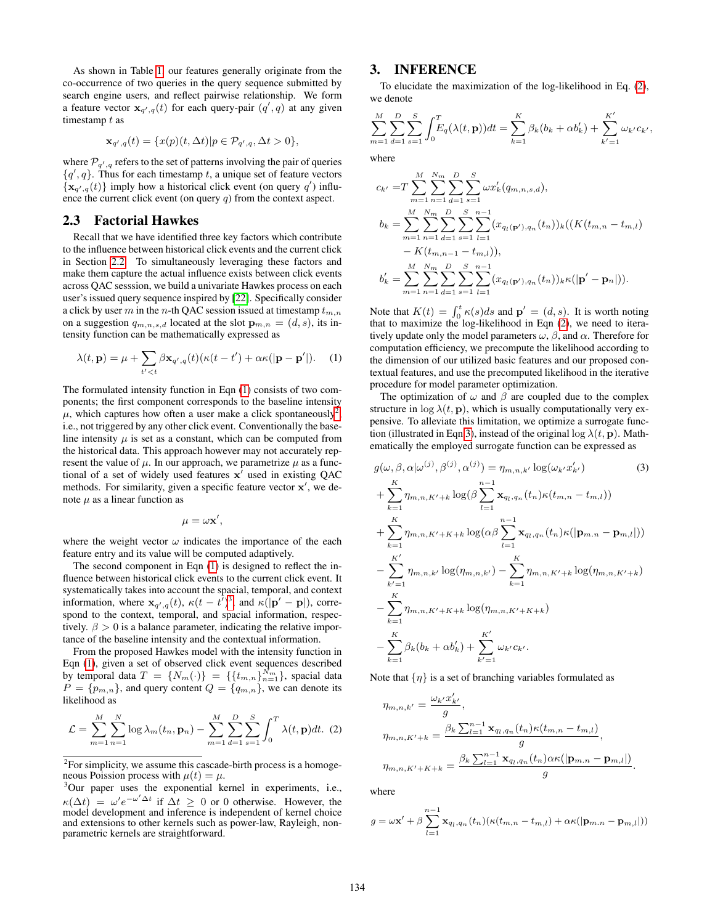As shown in Table [1,](#page-2-1) our features generally originate from the co-occurrence of two queries in the query sequence submitted by search engine users, and reflect pairwise relationship. We form a feature vector  $x_{q',q}(t)$  for each query-pair  $(q', q)$  at any given timestamp t as

$$
\mathbf{x}_{q',q}(t) = \{x(p)(t,\Delta t)|p \in \mathcal{P}_{q',q}, \Delta t > 0\},\
$$

where  $\mathcal{P}_{q',q}$  refers to the set of patterns involving the pair of queries  ${q', q}$ . Thus for each timestamp t, a unique set of feature vectors  ${x_{q',q}(t)}$  imply how a historical click event (on query q') influence the current click event (on query  $q$ ) from the context aspect.

#### 2.3 Factorial Hawkes

Recall that we have identified three key factors which contribute to the influence between historical click events and the current click in Section [2.2.](#page-2-2) To simultaneously leveraging these factors and make them capture the actual influence exists between click events across QAC sesssion, we build a univariate Hawkes process on each user's issued query sequence inspired by [\[22\]](#page-8-9). Specifically consider a click by user m in the n-th QAC session issued at timestamp  $t_{m,n}$ on a suggestion  $q_{m,n,s,d}$  located at the slot  $\mathbf{p}_{m,n} = (d, s)$ , its intensity function can be mathematically expressed as

$$
\lambda(t, \mathbf{p}) = \mu + \sum_{t' < t} \beta \mathbf{x}_{q',q}(t) (\kappa(t - t') + \alpha \kappa(|\mathbf{p} - \mathbf{p}'|). \tag{1}
$$

The formulated intensity function in Eqn [\(1\)](#page-3-0) consists of two components; the first component corresponds to the baseline intensity  $\mu$ , which captures how often a user make a click spontaneously<sup>[2](#page-3-1)</sup>, i.e., not triggered by any other click event. Conventionally the baseline intensity  $\mu$  is set as a constant, which can be computed from the historical data. This approach however may not accurately represent the value of  $\mu$ . In our approach, we parametrize  $\mu$  as a functional of a set of widely used features  $x^7$  used in existing QAC methods. For similarity, given a specific feature vector  $x'$ , we denote  $\mu$  as a linear function as

$$
\mu = \omega \mathbf{x}',
$$

where the weight vector  $\omega$  indicates the importance of the each feature entry and its value will be computed adaptively.

The second component in Eqn [\(1\)](#page-3-0) is designed to reflect the influence between historical click events to the current click event. It systematically takes into account the spacial, temporal, and context information, where  $\mathbf{x}_{q',q}(t)$ ,  $\kappa(t - t^{\overline{\jmath}})^3$  $\kappa(t - t^{\overline{\jmath}})^3$ , and  $\kappa(|\mathbf{p}' - \mathbf{p}|)$ , correspond to the context, temporal, and spacial information, respectively.  $\beta > 0$  is a balance parameter, indicating the relative importance of the baseline intensity and the contextual information.

From the proposed Hawkes model with the intensity function in Eqn [\(1\)](#page-3-0), given a set of observed click event sequences described by temporal data  $T = \{N_m(\cdot)\} = \{\{t_{m,n}\}_{n=1}^{N_m}\}$ , spacial data  $P = \{p_{m,n}\}\$ , and query content  $Q = \{q_{m,n}\}\$ , we can denote its likelihood as

$$
\mathcal{L} = \sum_{m=1}^{M} \sum_{n=1}^{N} \log \lambda_m(t_n, \mathbf{p}_n) - \sum_{m=1}^{M} \sum_{d=1}^{D} \sum_{s=1}^{S} \int_0^T \lambda(t, \mathbf{p}) dt. (2)
$$

## 3. INFERENCE

To elucidate the maximization of the log-likelihood in Eq. [\(2\)](#page-3-3), we denote

<span id="page-3-4"></span>
$$
\sum_{m=1}^{M} \sum_{d=1}^{D} \sum_{s=1}^{S} \int_{0}^{T} E_q(\lambda(t, \mathbf{p})) dt = \sum_{k=1}^{K} \beta_k (b_k + \alpha b'_k) + \sum_{k'=1}^{K'} \omega_{k'} c_{k'},
$$

where

$$
c_{k'} = T \sum_{m=1}^{M} \sum_{n=1}^{N_m} \sum_{d=1}^{D} \sum_{s=1}^{S} \omega x'_k (q_{m,n,s,d}),
$$
  
\n
$$
b_k = \sum_{m=1}^{M} \sum_{n=1}^{N_m} \sum_{d=1}^{D} \sum_{s=1}^{S} \sum_{l=1}^{n-1} (x_{q_l(\mathbf{p}'),q_n}(t_n))_k ((K(t_{m,n} - t_{m,l}) - K(t_{m,n-1} - t_{m,l})),
$$
  
\n
$$
b'_k = \sum_{m=1}^{M} \sum_{n=1}^{N_m} \sum_{d=1}^{D} \sum_{s=1}^{S} \sum_{l=1}^{n-1} (x_{q_l(\mathbf{p}'),q_n}(t_n))_k \kappa(|\mathbf{p}' - \mathbf{p}_n|)).
$$

<span id="page-3-0"></span>Note that  $K(t) = \int_0^t \kappa(s)ds$  and  $\mathbf{p}' = (d, s)$ . It is worth noting that to maximize the log-likelihood in Eqn [\(2\)](#page-3-3), we need to iteratively update only the model parameters  $\omega$ ,  $\beta$ , and  $\alpha$ . Therefore for computation efficiency, we precompute the likelihood according to the dimension of our utilized basic features and our proposed contextual features, and use the precomputed likelihood in the iterative procedure for model parameter optimization.

The optimization of  $\omega$  and  $\beta$  are coupled due to the complex structure in  $\log \lambda(t, \mathbf{p})$ , which is usually computationally very expensive. To alleviate this limitation, we optimize a surrogate func-tion (illustrated in Eqn [3\)](#page-3-4), instead of the original  $\log \lambda(t, \mathbf{p})$ . Mathematically the employed surrogate function can be expressed as

$$
g(\omega, \beta, \alpha | \omega^{(j)}, \beta^{(j)}, \alpha^{(j)}) = \eta_{m,n,k'} \log(\omega_{k'} x'_{k'})
$$
(3)  
+ 
$$
\sum_{k=1}^{K} \eta_{m,n,K'+k} \log(\beta \sum_{l=1}^{n-1} \mathbf{x}_{q_l,q_n}(t_n) \kappa(t_{m,n} - t_{m,l}))
$$
  
+ 
$$
\sum_{k=1}^{K} \eta_{m,n,K'+K+k} \log(\alpha \beta \sum_{l=1}^{n-1} \mathbf{x}_{q_l,q_n}(t_n) \kappa(|\mathbf{p}_{m,n} - \mathbf{p}_{m,l}|))
$$
  
- 
$$
\sum_{k'=1}^{K'} \eta_{m,n,k'} \log(\eta_{m,n,k'}) - \sum_{k=1}^{K} \eta_{m,n,K'+k} \log(\eta_{m,n,K'+k})
$$
  
- 
$$
\sum_{k=1}^{K} \eta_{m,n,K'+K+k} \log(\eta_{m,n,K'+K+k})
$$
  
- 
$$
\sum_{k=1}^{K} \beta_k (b_k + \alpha b'_k) + \sum_{k'=1}^{K'} \omega_{k'} c_{k'}
$$

Note that  $\{\eta\}$  is a set of branching variables formulated as

<span id="page-3-3"></span>
$$
\eta_{m,n,k'} = \frac{\omega_{k'} x'_{k'}}{g},
$$
  
\n
$$
\eta_{m,n,K'+k} = \frac{\beta_k \sum_{l=1}^{n-1} \mathbf{x}_{q_l,q_n}(t_n) \kappa(t_{m,n} - t_{m,l})}{g},
$$
  
\n
$$
\eta_{m,n,K'+K+k} = \frac{\beta_k \sum_{l=1}^{n-1} \mathbf{x}_{q_l,q_n}(t_n) \alpha \kappa(|\mathbf{p}_{m,n} - \mathbf{p}_{m,l}|)}{g}.
$$

where

$$
g = \omega \mathbf{x}' + \beta \sum_{l=1}^{n-1} \mathbf{x}_{q_l,q_l}(t_n) (\kappa(t_{m,n} - t_{m,l}) + \alpha \kappa(|\mathbf{p}_{m,n} - \mathbf{p}_{m,l}|))
$$

<span id="page-3-1"></span> $2^2$ For simplicity, we assume this cascade-birth process is a homogeneous Poission process with  $\mu(t) = \mu$ .

<span id="page-3-2"></span><sup>&</sup>lt;sup>3</sup>Our paper uses the exponential kernel in experiments, i.e.,  $\kappa(\Delta t) = \omega' e^{-\omega' \Delta t}$  if  $\Delta t \geq 0$  or 0 otherwise. However, the model development and inference is independent of kernel choice and extensions to other kernels such as power-law, Rayleigh, nonparametric kernels are straightforward.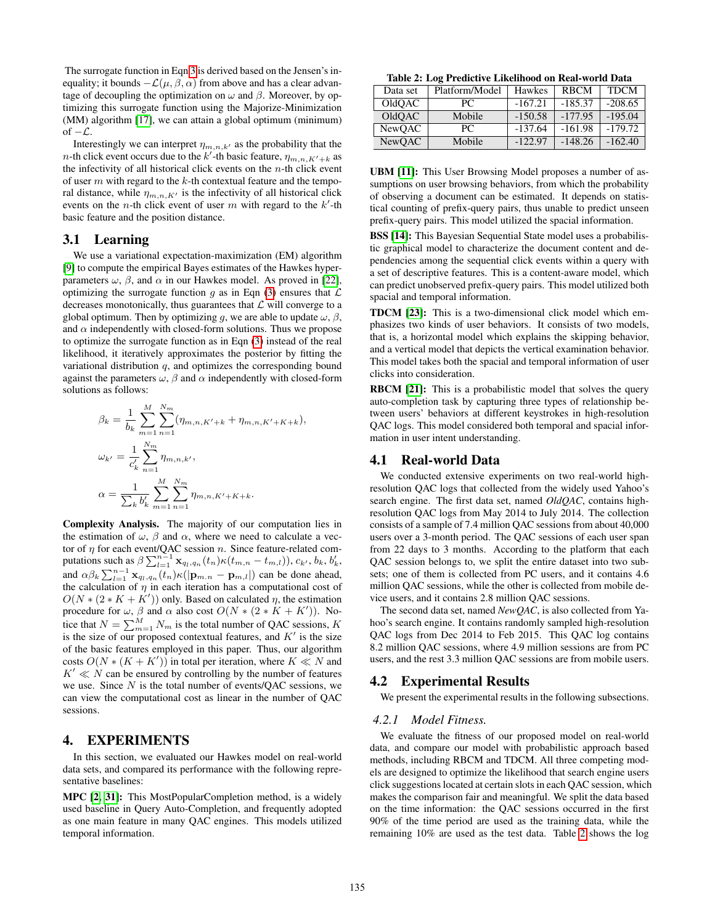The surrogate function in Eqn [3](#page-3-4) is derived based on the Jensen's inequality; it bounds  $-\mathcal{L}(\mu, \beta, \alpha)$  from above and has a clear advantage of decoupling the optimization on  $\omega$  and  $\beta$ . Moreover, by optimizing this surrogate function using the Majorize-Minimization (MM) algorithm [\[17\]](#page-8-12), we can attain a global optimum (minimum) of  $-\mathcal{L}$ .

Interestingly we can interpret  $\eta_{m,n,k'}$  as the probability that the *n*-th click event occurs due to the k'-th basic feature,  $\eta_{m,n,K'+k}$  as the infectivity of all historical click events on the  $n$ -th click event of user  $m$  with regard to the  $k$ -th contextual feature and the temporal distance, while  $\eta_{m,n,K'}$  is the infectivity of all historical click events on the *n*-th click event of user  $m$  with regard to the  $k'$ -th basic feature and the position distance.

#### 3.1 Learning

We use a variational expectation-maximization (EM) algorithm [\[9\]](#page-8-13) to compute the empirical Bayes estimates of the Hawkes hyperparameters  $\omega$ ,  $\beta$ , and  $\alpha$  in our Hawkes model. As proved in [\[22\]](#page-8-9), optimizing the surrogate function q as in Eqn [\(3\)](#page-3-4) ensures that  $\mathcal L$ decreases monotonically, thus guarantees that  $\mathcal L$  will converge to a global optimum. Then by optimizing q, we are able to update  $\omega$ ,  $\beta$ , and  $\alpha$  independently with closed-form solutions. Thus we propose to optimize the surrogate function as in Eqn [\(3\)](#page-3-4) instead of the real likelihood, it iteratively approximates the posterior by fitting the variational distribution  $q$ , and optimizes the corresponding bound against the parameters  $\omega$ ,  $\beta$  and  $\alpha$  independently with closed-form solutions as follows:

$$
\beta_k = \frac{1}{b_k} \sum_{m=1}^{M} \sum_{n=1}^{N_m} (\eta_{m,n,K'+k} + \eta_{m,n,K'+K+k}),
$$
  

$$
\omega_{k'} = \frac{1}{c'_k} \sum_{n=1}^{N_m} \eta_{m,n,k'},
$$
  

$$
\alpha = \frac{1}{\sum_k b'_k} \sum_{m=1}^{N_m} \sum_{n=1}^{N_m} \eta_{m,n,K'+K+k}.
$$

Complexity Analysis. The majority of our computation lies in the estimation of  $\omega$ ,  $\beta$  and  $\alpha$ , where we need to calculate a vector of  $\eta$  for each event/QAC session  $n$ . Since feature-related computations such as  $\beta \sum_{l=1}^{n-1} \mathbf{x}_{q_l, q_n}(t_n) \kappa(t_{m,n} - t_{m,l}), c_{k'}, b_k, b'_k,$ and  $\alpha \beta_k \sum_{l=1}^{n-1} \mathbf{x}_{q_l, q_n}(t_n) \kappa(|\mathbf{p}_{m.n} - \mathbf{p}_{m,l}|)$  can be done ahead, the calculation of  $\eta$  in each iteration has a computational cost of  $O(N * (2 * K + K'))$  only. Based on calculated  $\eta$ , the estimation procedure for  $\omega$ ,  $\beta$  and  $\alpha$  also cost  $O(N * (2 * K + K'))$ . Notice that  $N = \sum_{m=1}^{M} N_m$  is the total number of QAC sessions, K is the size of our proposed contextual features, and  $K'$  is the size of the basic features employed in this paper. Thus, our algorithm costs  $O(N * (K + K'))$  in total per iteration, where  $K \ll N$  and  $K' \ll N$  can be ensured by controlling by the number of features we use. Since  $N$  is the total number of events/QAC sessions, we can view the computational cost as linear in the number of QAC sessions.

# 4. EXPERIMENTS

In this section, we evaluated our Hawkes model on real-world data sets, and compared its performance with the following representative baselines:

MPC [\[2,](#page-8-1) [31\]](#page-8-4): This MostPopularCompletion method, is a widely used baseline in Query Auto-Completion, and frequently adopted as one main feature in many QAC engines. This models utilized temporal information.

<span id="page-4-0"></span>Table 2: Log Predictive Likelihood on Real-world Data

| Data set      | Platform/Model | Hawkes    | <b>RBCM</b> | <b>TDCM</b> |
|---------------|----------------|-----------|-------------|-------------|
| OldOAC        | PC.            | $-167.21$ | $-185.37$   | $-208.65$   |
| OldOAC        | Mobile         | $-150.58$ | $-177.95$   | $-195.04$   |
| <b>NewOAC</b> | PC.            | $-137.64$ | $-161.98$   | $-179.72$   |
| NewOAC        | Mobile         | $-122.97$ | $-148.26$   | $-162.40$   |

UBM [\[11\]](#page-8-14): This User Browsing Model proposes a number of assumptions on user browsing behaviors, from which the probability of observing a document can be estimated. It depends on statistical counting of prefix-query pairs, thus unable to predict unseen prefix-query pairs. This model utilized the spacial information.

BSS [\[14\]](#page-8-15): This Bayesian Sequential State model uses a probabilistic graphical model to characterize the document content and dependencies among the sequential click events within a query with a set of descriptive features. This is a content-aware model, which can predict unobserved prefix-query pairs. This model utilized both spacial and temporal information.

TDCM [\[23\]](#page-8-10): This is a two-dimensional click model which emphasizes two kinds of user behaviors. It consists of two models, that is, a horizontal model which explains the skipping behavior, and a vertical model that depicts the vertical examination behavior. This model takes both the spacial and temporal information of user clicks into consideration.

RBCM [\[21\]](#page-8-5): This is a probabilistic model that solves the query auto-completion task by capturing three types of relationship between users' behaviors at different keystrokes in high-resolution QAC logs. This model considered both temporal and spacial information in user intent understanding.

#### 4.1 Real-world Data

We conducted extensive experiments on two real-world highresolution QAC logs that collected from the widely used Yahoo's search engine. The first data set, named *OldQAC*, contains highresolution QAC logs from May 2014 to July 2014. The collection consists of a sample of 7.4 million QAC sessions from about 40,000 users over a 3-month period. The QAC sessions of each user span from 22 days to 3 months. According to the platform that each QAC session belongs to, we split the entire dataset into two subsets; one of them is collected from PC users, and it contains 4.6 million QAC sessions, while the other is collected from mobile device users, and it contains 2.8 million QAC sessions.

The second data set, named *NewQAC*, is also collected from Yahoo's search engine. It contains randomly sampled high-resolution QAC logs from Dec 2014 to Feb 2015. This QAC log contains 8.2 million QAC sessions, where 4.9 million sessions are from PC users, and the rest 3.3 million QAC sessions are from mobile users.

#### 4.2 Experimental Results

We present the experimental results in the following subsections.

#### *4.2.1 Model Fitness.*

We evaluate the fitness of our proposed model on real-world data, and compare our model with probabilistic approach based methods, including RBCM and TDCM. All three competing models are designed to optimize the likelihood that search engine users click suggestions located at certain slots in each QAC session, which makes the comparison fair and meaningful. We split the data based on the time information: the QAC sessions occurred in the first 90% of the time period are used as the training data, while the remaining 10% are used as the test data. Table [2](#page-4-0) shows the log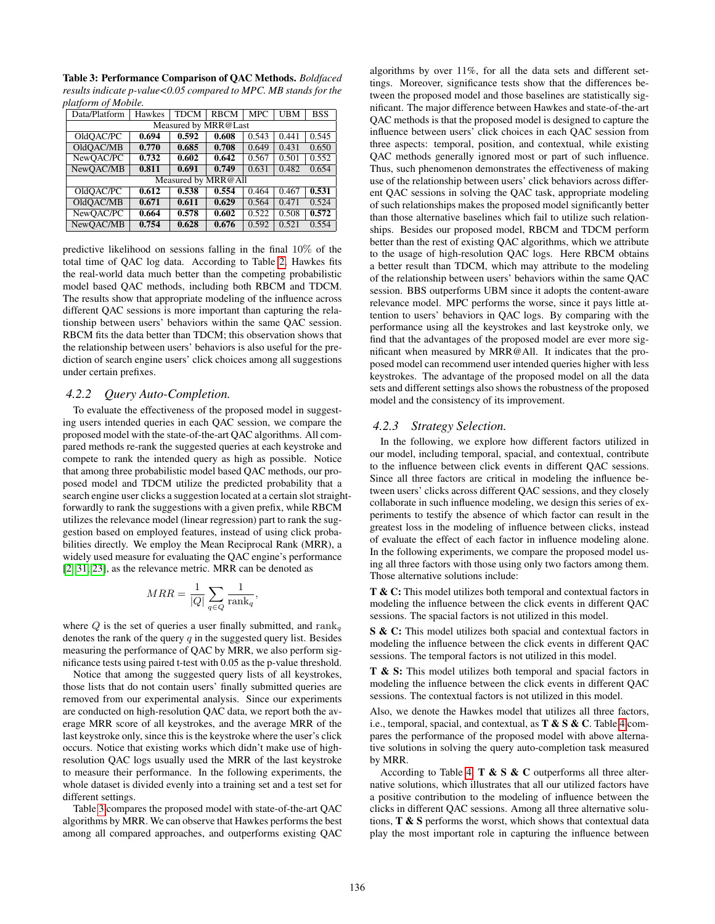<span id="page-5-0"></span>Table 3: Performance Comparison of QAC Methods. *Boldfaced results indicate p-value<0.05 compared to MPC. MB stands for the platform of Mobile.*

| Data/Platform        | Hawkes | <b>TDCM</b> | <b>RBCM</b> | <b>MPC</b> | <b>UBM</b> | <b>BSS</b> |  |
|----------------------|--------|-------------|-------------|------------|------------|------------|--|
| Measured by MRR@Last |        |             |             |            |            |            |  |
| OldOAC/PC            | 0.694  | 0.592       | 0.608       | 0.543      | 0.441      | 0.545      |  |
| OldOAC/MB            | 0.770  | 0.685       | 0.708       | 0.649      | 0.431      | 0.650      |  |
| NewOAC/PC            | 0.732  | 0.602       | 0.642       | 0.567      | 0.501      | 0.552      |  |
| NewOAC/MB            | 0.811  | 0.691       | 0.749       | 0.631      | 0.482      | 0.654      |  |
| Measured by MRR@All  |        |             |             |            |            |            |  |
| OldOAC/PC            | 0.612  | 0.538       | 0.554       | 0.464      | 0.467      | 0.531      |  |
| OldOAC/MB            | 0.671  | 0.611       | 0.629       | 0.564      | 0.471      | 0.524      |  |
| NewOAC/PC            | 0.664  | 0.578       | 0.602       | 0.522      | 0.508      | 0.572      |  |
| NewOAC/MB            | 0.754  | 0.628       | 0.676       | 0.592      | 0.521      | 0.554      |  |

predictive likelihood on sessions falling in the final 10% of the total time of QAC log data. According to Table [2,](#page-4-0) Hawkes fits the real-world data much better than the competing probabilistic model based QAC methods, including both RBCM and TDCM. The results show that appropriate modeling of the influence across different QAC sessions is more important than capturing the relationship between users' behaviors within the same QAC session. RBCM fits the data better than TDCM; this observation shows that the relationship between users' behaviors is also useful for the prediction of search engine users' click choices among all suggestions under certain prefixes.

#### *4.2.2 Query Auto-Completion.*

To evaluate the effectiveness of the proposed model in suggesting users intended queries in each QAC session, we compare the proposed model with the state-of-the-art QAC algorithms. All compared methods re-rank the suggested queries at each keystroke and compete to rank the intended query as high as possible. Notice that among three probabilistic model based QAC methods, our proposed model and TDCM utilize the predicted probability that a search engine user clicks a suggestion located at a certain slot straightforwardly to rank the suggestions with a given prefix, while RBCM utilizes the relevance model (linear regression) part to rank the suggestion based on employed features, instead of using click probabilities directly. We employ the Mean Reciprocal Rank (MRR), a widely used measure for evaluating the QAC engine's performance [\[2,](#page-8-1) [31,](#page-8-4) [23\]](#page-8-10), as the relevance metric. MRR can be denoted as

$$
MRR = \frac{1}{|Q|} \sum_{q \in Q} \frac{1}{\text{rank}_q},
$$

where Q is the set of queries a user finally submitted, and  $\text{rank}_q$ denotes the rank of the query  $q$  in the suggested query list. Besides measuring the performance of QAC by MRR, we also perform significance tests using paired t-test with 0.05 as the p-value threshold.

Notice that among the suggested query lists of all keystrokes, those lists that do not contain users' finally submitted queries are removed from our experimental analysis. Since our experiments are conducted on high-resolution QAC data, we report both the average MRR score of all keystrokes, and the average MRR of the last keystroke only, since this is the keystroke where the user's click occurs. Notice that existing works which didn't make use of highresolution QAC logs usually used the MRR of the last keystroke to measure their performance. In the following experiments, the whole dataset is divided evenly into a training set and a test set for different settings.

Table [3](#page-5-0) compares the proposed model with state-of-the-art QAC algorithms by MRR. We can observe that Hawkes performs the best among all compared approaches, and outperforms existing QAC algorithms by over 11%, for all the data sets and different settings. Moreover, significance tests show that the differences between the proposed model and those baselines are statistically significant. The major difference between Hawkes and state-of-the-art QAC methods is that the proposed model is designed to capture the influence between users' click choices in each QAC session from three aspects: temporal, position, and contextual, while existing QAC methods generally ignored most or part of such influence. Thus, such phenomenon demonstrates the effectiveness of making use of the relationship between users' click behaviors across different QAC sessions in solving the QAC task, appropriate modeling of such relationships makes the proposed model significantly better than those alternative baselines which fail to utilize such relationships. Besides our proposed model, RBCM and TDCM perform better than the rest of existing QAC algorithms, which we attribute to the usage of high-resolution QAC logs. Here RBCM obtains a better result than TDCM, which may attribute to the modeling of the relationship between users' behaviors within the same QAC session. BBS outperforms UBM since it adopts the content-aware relevance model. MPC performs the worse, since it pays little attention to users' behaviors in QAC logs. By comparing with the performance using all the keystrokes and last keystroke only, we find that the advantages of the proposed model are ever more significant when measured by MRR@All. It indicates that the proposed model can recommend user intended queries higher with less keystrokes. The advantage of the proposed model on all the data sets and different settings also shows the robustness of the proposed model and the consistency of its improvement.

#### *4.2.3 Strategy Selection.*

In the following, we explore how different factors utilized in our model, including temporal, spacial, and contextual, contribute to the influence between click events in different QAC sessions. Since all three factors are critical in modeling the influence between users' clicks across different QAC sessions, and they closely collaborate in such influence modeling, we design this series of experiments to testify the absence of which factor can result in the greatest loss in the modeling of influence between clicks, instead of evaluate the effect of each factor in influence modeling alone. In the following experiments, we compare the proposed model using all three factors with those using only two factors among them. Those alternative solutions include:

T & C: This model utilizes both temporal and contextual factors in modeling the influence between the click events in different QAC sessions. The spacial factors is not utilized in this model.

S & C: This model utilizes both spacial and contextual factors in modeling the influence between the click events in different QAC sessions. The temporal factors is not utilized in this model.

T & S: This model utilizes both temporal and spacial factors in modeling the influence between the click events in different QAC sessions. The contextual factors is not utilized in this model.

Also, we denote the Hawkes model that utilizes all three factors, i.e., temporal, spacial, and contextual, as  $T \& S \& C$ . Table [4](#page-6-0) compares the performance of the proposed model with above alternative solutions in solving the query auto-completion task measured by MRR.

According to Table [4,](#page-6-0)  $T \& S \& C$  outperforms all three alternative solutions, which illustrates that all our utilized factors have a positive contribution to the modeling of influence between the clicks in different QAC sessions. Among all three alternative solutions, T & S performs the worst, which shows that contextual data play the most important role in capturing the influence between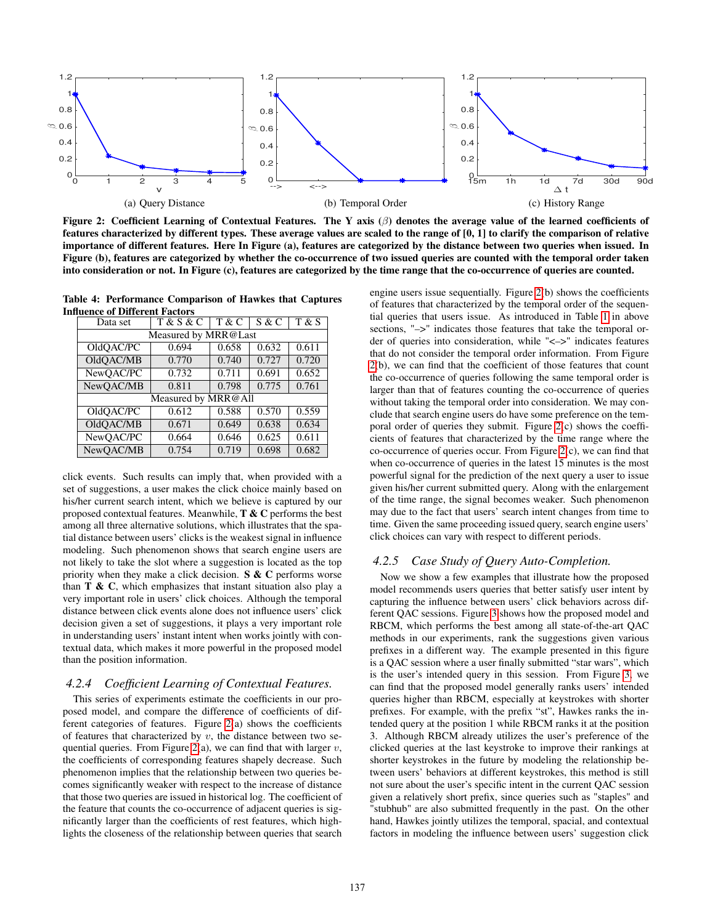

<span id="page-6-1"></span>Figure 2: Coefficient Learning of Contextual Features. The Y axis  $(\beta)$  denotes the average value of the learned coefficients of features characterized by different types. These average values are scaled to the range of [0, 1] to clarify the comparison of relative importance of different features. Here In Figure (a), features are categorized by the distance between two queries when issued. In Figure (b), features are categorized by whether the co-occurrence of two issued queries are counted with the temporal order taken into consideration or not. In Figure (c), features are categorized by the time range that the co-occurrence of queries are counted.

<span id="page-6-0"></span>Table 4: Performance Comparison of Hawkes that Captures Influence of Different Factors

| Data set             | <b>T &amp; S &amp; C</b> | T & C | S & C | T & S |  |  |
|----------------------|--------------------------|-------|-------|-------|--|--|
| Measured by MRR@Last |                          |       |       |       |  |  |
| OldQAC/PC            | 0.694                    | 0.658 | 0.632 | 0.611 |  |  |
| OldQAC/MB            | 0.770                    | 0.740 | 0.727 | 0.720 |  |  |
| NewQAC/PC            | 0.732                    | 0.711 | 0.691 | 0.652 |  |  |
| NewQAC/MB            | 0.811                    | 0.798 | 0.775 | 0.761 |  |  |
| Measured by MRR@All  |                          |       |       |       |  |  |
| OldOAC/PC            | 0.612                    | 0.588 | 0.570 | 0.559 |  |  |
| OldQAC/MB            | 0.671                    | 0.649 | 0.638 | 0.634 |  |  |
| NewQAC/PC            | 0.664                    | 0.646 | 0.625 | 0.611 |  |  |
| NewOAC/MB            | 0.754                    | 0.719 | 0.698 | 0.682 |  |  |

click events. Such results can imply that, when provided with a set of suggestions, a user makes the click choice mainly based on his/her current search intent, which we believe is captured by our proposed contextual features. Meanwhile,  $T \& C$  performs the best among all three alternative solutions, which illustrates that the spatial distance between users' clicks is the weakest signal in influence modeling. Such phenomenon shows that search engine users are not likely to take the slot where a suggestion is located as the top priority when they make a click decision.  $S \& C$  performs worse than  $T \& C$ , which emphasizes that instant situation also play a very important role in users' click choices. Although the temporal distance between click events alone does not influence users' click decision given a set of suggestions, it plays a very important role in understanding users' instant intent when works jointly with contextual data, which makes it more powerful in the proposed model than the position information.

# *4.2.4 Coefficient Learning of Contextual Features.*

This series of experiments estimate the coefficients in our proposed model, and compare the difference of coefficients of different categories of features. Figure [2\(](#page-6-1)a) shows the coefficients of features that characterized by  $v$ , the distance between two se-quential queries. From Figure [2\(](#page-6-1)a), we can find that with larger  $v$ , the coefficients of corresponding features shapely decrease. Such phenomenon implies that the relationship between two queries becomes significantly weaker with respect to the increase of distance that those two queries are issued in historical log. The coefficient of the feature that counts the co-occurrence of adjacent queries is significantly larger than the coefficients of rest features, which highlights the closeness of the relationship between queries that search

engine users issue sequentially. Figure [2\(](#page-6-1)b) shows the coefficients of features that characterized by the temporal order of the sequential queries that users issue. As introduced in Table [1](#page-2-1) in above sections, " $\rightarrow$ " indicates those features that take the temporal order of queries into consideration, while "<–>" indicates features that do not consider the temporal order information. From Figure [2\(](#page-6-1)b), we can find that the coefficient of those features that count the co-occurrence of queries following the same temporal order is larger than that of features counting the co-occurrence of queries without taking the temporal order into consideration. We may conclude that search engine users do have some preference on the temporal order of queries they submit. Figure [2\(](#page-6-1)c) shows the coefficients of features that characterized by the time range where the co-occurrence of queries occur. From Figure [2\(](#page-6-1)c), we can find that when co-occurrence of queries in the latest 15 minutes is the most powerful signal for the prediction of the next query a user to issue given his/her current submitted query. Along with the enlargement of the time range, the signal becomes weaker. Such phenomenon may due to the fact that users' search intent changes from time to time. Given the same proceeding issued query, search engine users' click choices can vary with respect to different periods.

## *4.2.5 Case Study of Query Auto-Completion.*

Now we show a few examples that illustrate how the proposed model recommends users queries that better satisfy user intent by capturing the influence between users' click behaviors across different QAC sessions. Figure [3](#page-7-0) shows how the proposed model and RBCM, which performs the best among all state-of-the-art QAC methods in our experiments, rank the suggestions given various prefixes in a different way. The example presented in this figure is a QAC session where a user finally submitted "star wars", which is the user's intended query in this session. From Figure [3,](#page-7-0) we can find that the proposed model generally ranks users' intended queries higher than RBCM, especially at keystrokes with shorter prefixes. For example, with the prefix "st", Hawkes ranks the intended query at the position 1 while RBCM ranks it at the position 3. Although RBCM already utilizes the user's preference of the clicked queries at the last keystroke to improve their rankings at shorter keystrokes in the future by modeling the relationship between users' behaviors at different keystrokes, this method is still not sure about the user's specific intent in the current QAC session given a relatively short prefix, since queries such as "staples" and "stubhub" are also submitted frequently in the past. On the other hand, Hawkes jointly utilizes the temporal, spacial, and contextual factors in modeling the influence between users' suggestion click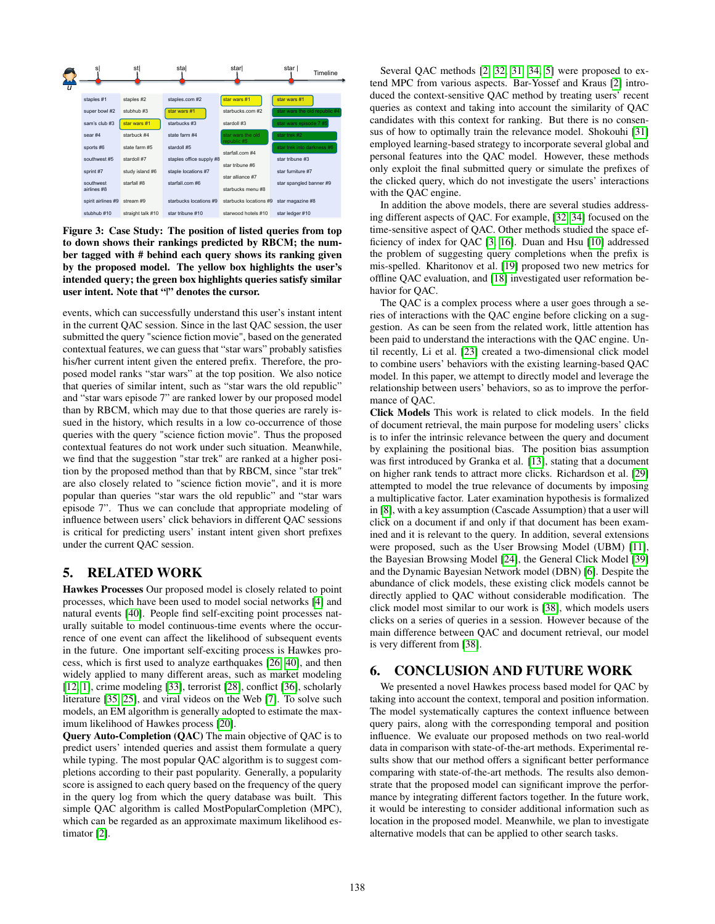

<span id="page-7-0"></span>Figure 3: Case Study: The position of listed queries from top to down shows their rankings predicted by RBCM; the number tagged with # behind each query shows its ranking given by the proposed model. The yellow box highlights the user's intended query; the green box highlights queries satisfy similar user intent. Note that "|" denotes the cursor.

events, which can successfully understand this user's instant intent in the current QAC session. Since in the last QAC session, the user submitted the query "science fiction movie", based on the generated contextual features, we can guess that "star wars" probably satisfies his/her current intent given the entered prefix. Therefore, the proposed model ranks "star wars" at the top position. We also notice that queries of similar intent, such as "star wars the old republic" and "star wars episode 7" are ranked lower by our proposed model than by RBCM, which may due to that those queries are rarely issued in the history, which results in a low co-occurrence of those queries with the query "science fiction movie". Thus the proposed contextual features do not work under such situation. Meanwhile, we find that the suggestion "star trek" are ranked at a higher position by the proposed method than that by RBCM, since "star trek" are also closely related to "science fiction movie", and it is more popular than queries "star wars the old republic" and "star wars episode 7". Thus we can conclude that appropriate modeling of influence between users' click behaviors in different QAC sessions is critical for predicting users' instant intent given short prefixes under the current QAC session.

# 5. RELATED WORK

Hawkes Processes Our proposed model is closely related to point processes, which have been used to model social networks [\[4\]](#page-8-16) and natural events [\[40\]](#page-8-17). People find self-exciting point processes naturally suitable to model continuous-time events where the occurrence of one event can affect the likelihood of subsequent events in the future. One important self-exciting process is Hawkes process, which is first used to analyze earthquakes [\[26,](#page-8-18) [40\]](#page-8-17), and then widely applied to many different areas, such as market modeling [\[12,](#page-8-19) [1\]](#page-8-20), crime modeling [\[33\]](#page-8-21), terrorist [\[28\]](#page-8-22), conflict [\[36\]](#page-8-23), scholarly literature [\[35,](#page-8-24) [25\]](#page-8-25), and viral videos on the Web [\[7\]](#page-8-26). To solve such models, an EM algorithm is generally adopted to estimate the maximum likelihood of Hawkes process [\[20\]](#page-8-27).

Query Auto-Completion (QAC) The main objective of QAC is to predict users' intended queries and assist them formulate a query while typing. The most popular QAC algorithm is to suggest completions according to their past popularity. Generally, a popularity score is assigned to each query based on the frequency of the query in the query log from which the query database was built. This simple QAC algorithm is called MostPopularCompletion (MPC), which can be regarded as an approximate maximum likelihood estimator [\[2\]](#page-8-1).

Several QAC methods [\[2,](#page-8-1) [32,](#page-8-2) [31,](#page-8-4) [34,](#page-8-3) [5\]](#page-8-28) were proposed to extend MPC from various aspects. Bar-Yossef and Kraus [\[2\]](#page-8-1) introduced the context-sensitive QAC method by treating users' recent queries as context and taking into account the similarity of QAC candidates with this context for ranking. But there is no consensus of how to optimally train the relevance model. Shokouhi [\[31\]](#page-8-4) employed learning-based strategy to incorporate several global and personal features into the QAC model. However, these methods only exploit the final submitted query or simulate the prefixes of the clicked query, which do not investigate the users' interactions with the QAC engine.

In addition the above models, there are several studies addressing different aspects of QAC. For example, [\[32,](#page-8-2) [34\]](#page-8-3) focused on the time-sensitive aspect of QAC. Other methods studied the space efficiency of index for QAC [\[3,](#page-8-0) [16\]](#page-8-29). Duan and Hsu [\[10\]](#page-8-30) addressed the problem of suggesting query completions when the prefix is mis-spelled. Kharitonov et al. [\[19\]](#page-8-31) proposed two new metrics for offline QAC evaluation, and [\[18\]](#page-8-7) investigated user reformation behavior for QAC.

The QAC is a complex process where a user goes through a series of interactions with the QAC engine before clicking on a suggestion. As can be seen from the related work, little attention has been paid to understand the interactions with the QAC engine. Until recently, Li et al. [\[23\]](#page-8-10) created a two-dimensional click model to combine users' behaviors with the existing learning-based QAC model. In this paper, we attempt to directly model and leverage the relationship between users' behaviors, so as to improve the performance of QAC.

Click Models This work is related to click models. In the field of document retrieval, the main purpose for modeling users' clicks is to infer the intrinsic relevance between the query and document by explaining the positional bias. The position bias assumption was first introduced by Granka et al. [\[13\]](#page-8-32), stating that a document on higher rank tends to attract more clicks. Richardson et al. [\[29\]](#page-8-33) attempted to model the true relevance of documents by imposing a multiplicative factor. Later examination hypothesis is formalized in [\[8\]](#page-8-34), with a key assumption (Cascade Assumption) that a user will click on a document if and only if that document has been examined and it is relevant to the query. In addition, several extensions were proposed, such as the User Browsing Model (UBM) [\[11\]](#page-8-14), the Bayesian Browsing Model [\[24\]](#page-8-35), the General Click Model [\[39\]](#page-8-36) and the Dynamic Bayesian Network model (DBN) [\[6\]](#page-8-37). Despite the abundance of click models, these existing click models cannot be directly applied to QAC without considerable modification. The click model most similar to our work is [\[38\]](#page-8-38), which models users clicks on a series of queries in a session. However because of the main difference between QAC and document retrieval, our model is very different from [\[38\]](#page-8-38).

# 6. CONCLUSION AND FUTURE WORK

We presented a novel Hawkes process based model for QAC by taking into account the context, temporal and position information. The model systematically captures the context influence between query pairs, along with the corresponding temporal and position influence. We evaluate our proposed methods on two real-world data in comparison with state-of-the-art methods. Experimental results show that our method offers a significant better performance comparing with state-of-the-art methods. The results also demonstrate that the proposed model can significant improve the performance by integrating different factors together. In the future work, it would be interesting to consider additional information such as location in the proposed model. Meanwhile, we plan to investigate alternative models that can be applied to other search tasks.